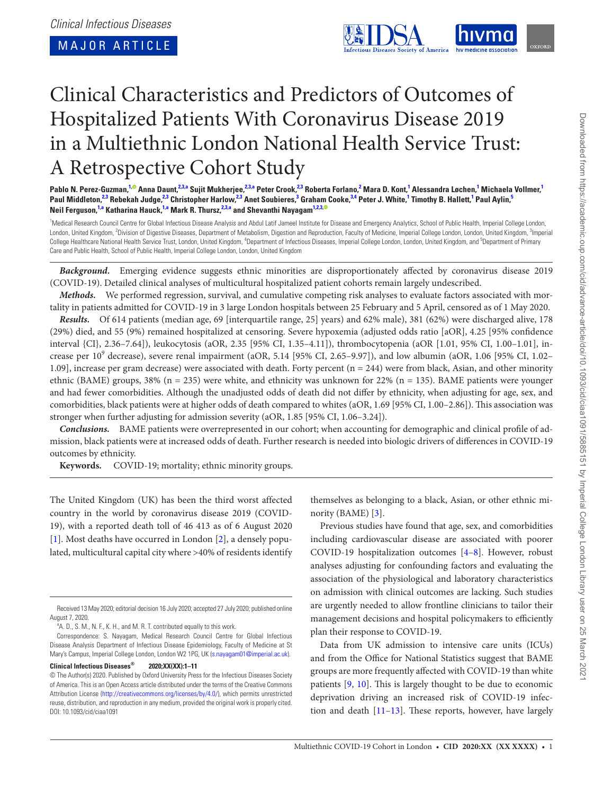MAJOR ARTICLE

<span id="page-0-5"></span>

# Clinical Characteristics and Predictors of Outcomes of Hospitalized Patients With Coronavirus Disease 2019 in a Multiethnic London National Health Service Trust: A Retrospective Cohort Study

Pablo N. Perez-Guzman,<sup>[1](#page-0-0),©</sup> Anna Daunt,<sup>[2](#page-0-1)[,3,](#page-0-2)[a](#page-0-3)</sup> Sujit Mukherjee,<sup>[2,](#page-0-1)[3](#page-0-2)[,a](#page-0-3)</sup> Peter Crook,<sup>2[,3](#page-0-2)</sup> Roberta Forlano,<sup>2</sup> Mara D. Kont,<sup>1</sup> Alessandra Løchen,<sup>1</sup> Michaela Vollmer,<sup>1</sup> Paul Middleton,<sup>[2](#page-0-1)[,3](#page-0-2)</sup> Rebekah Judge,<sup>[2,](#page-0-1)[3](#page-0-2)</sup> Christopher Harlow,<sup>2,3</sup> Anet Soubieres,<sup>3</sup> Graham Cooke,<sup>3[,4](#page-0-4)</sup> Peter J. White,<sup>[1](#page-0-0)</sup> Timothy B. Hallett,<sup>1</sup> Paul Aylin,<sup>[5](#page-0-5)</sup> **Neil Ferguson, [1,](#page-0-0)[a](#page-0-3) Katharina Hauck, [1](#page-0-0),[a](#page-0-3) Mark R. Thursz, [2,](#page-0-1)[3](#page-0-2)[,a](#page-0-3) and Shevanthi Nayaga[m1,](#page-0-0)[2](#page-0-1)[,3](#page-0-2)[,](http://orcid.org/0000-0002-8030-3380)**

<span id="page-0-4"></span><span id="page-0-2"></span><span id="page-0-1"></span><span id="page-0-0"></span><sup>1</sup>Medical Research Council Centre for Global Infectious Disease Analysis and Abdul Latif Jameel Institute for Disease and Emergency Analytics, School of Public Health, Imperial College London, London, United Kingdom, <sup>2</sup>Division of Digestive Diseases, Department of Metabolism, Digestion and Reproduction, Faculty of Medicine, Imperial College London, London, United Kingdom, <sup>3</sup>Imperial College Healthcare National Health Service Trust, London, United Kingdom, <sup>4</sup>Department of Infectious Diseases, Imperial College London, London, United Kingdom, and <sup>5</sup>Department of Primary Care and Public Health, School of Public Health, Imperial College London, London, United Kingdom

*Background.* Emerging evidence suggests ethnic minorities are disproportionately affected by coronavirus disease 2019 (COVID-19). Detailed clinical analyses of multicultural hospitalized patient cohorts remain largely undescribed.

*Methods.* We performed regression, survival, and cumulative competing risk analyses to evaluate factors associated with mortality in patients admitted for COVID-19 in 3 large London hospitals between 25 February and 5 April, censored as of 1 May 2020.

*Results.* Of 614 patients (median age, 69 [interquartile range, 25] years) and 62% male), 381 (62%) were discharged alive, 178 (29%) died, and 55 (9%) remained hospitalized at censoring. Severe hypoxemia (adjusted odds ratio [aOR], 4.25 [95% confidence interval {CI}, 2.36–7.64]), leukocytosis (aOR, 2.35 [95% CI, 1.35–4.11]), thrombocytopenia (aOR [1.01, 95% CI, 1.00–1.01], increase per  $10^9$  decrease), severe renal impairment (aOR, 5.14 [95% CI, 2.65–9.97]), and low albumin (aOR, 1.06 [95% CI, 1.02– 1.09], increase per gram decrease) were associated with death. Forty percent (n = 244) were from black, Asian, and other minority ethnic (BAME) groups,  $38\%$  (n = 235) were white, and ethnicity was unknown for 22% (n = 135). BAME patients were younger and had fewer comorbidities. Although the unadjusted odds of death did not differ by ethnicity, when adjusting for age, sex, and comorbidities, black patients were at higher odds of death compared to whites (aOR, 1.69 [95% CI, 1.00–2.86]). This association was stronger when further adjusting for admission severity (aOR, 1.85 [95% CI, 1.06–3.24]).

*Conclusions.* BAME patients were overrepresented in our cohort; when accounting for demographic and clinical profile of admission, black patients were at increased odds of death. Further research is needed into biologic drivers of differences in COVID-19 outcomes by ethnicity.

**Keywords.** COVID-19; mortality; ethnic minority groups.

The United Kingdom (UK) has been the third worst affected country in the world by coronavirus disease 2019 (COVID-19), with a reported death toll of 46 413 as of 6 August 2020 [\[1\]](#page-10-0). Most deaths have occurred in London [\[2\]](#page-10-1), a densely populated, multicultural capital city where >40% of residents identify

**Clinical Infectious Diseases® 2020;XX(XX):1–11**

themselves as belonging to a black, Asian, or other ethnic minority (BAME) [\[3\]](#page-10-2).

Previous studies have found that age, sex, and comorbidities including cardiovascular disease are associated with poorer COVID-19 hospitalization outcomes [\[4–](#page-10-3)[8](#page-10-4)]. However, robust analyses adjusting for confounding factors and evaluating the association of the physiological and laboratory characteristics on admission with clinical outcomes are lacking. Such studies are urgently needed to allow frontline clinicians to tailor their management decisions and hospital policymakers to efficiently plan their response to COVID-19.

Data from UK admission to intensive care units (ICUs) and from the Office for National Statistics suggest that BAME groups are more frequently affected with COVID-19 than white patients [\[9,](#page-10-5) [10\]](#page-10-6). This is largely thought to be due to economic deprivation driving an increased risk of COVID-19 infection and death [[11](#page-10-7)–[13](#page-10-8)]. These reports, however, have largely

Received 13 May 2020; editorial decision 16 July 2020; accepted 27 July 2020; published online August 7, 2020.

<span id="page-0-3"></span><sup>&</sup>lt;sup>a</sup>A. D., S. M., N. F., K. H., and M. R. T. contributed equally to this work.

Correspondence: S. Nayagam, Medical Research Council Centre for Global Infectious Disease Analysis Department of Infectious Disease Epidemiology, Faculty of Medicine at St Mary's Campus, Imperial College London, London W2 1PG, UK ([s.nayagam01@imperial.ac.uk](mailto:s.nayagam01@imperial.ac.uk?subject=)).

<sup>©</sup> The Author(s) 2020. Published by Oxford University Press for the Infectious Diseases Society of America. This is an Open Access article distributed under the terms of the Creative Commons Attribution License ([http://creativecommons.org/licenses/by/4.0/\)](http://creativecommons.org/licenses/by/4.0/), which permits unrestricted reuse, distribution, and reproduction in any medium, provided the original work is properly cited. DOI: 10.1093/cid/ciaa1091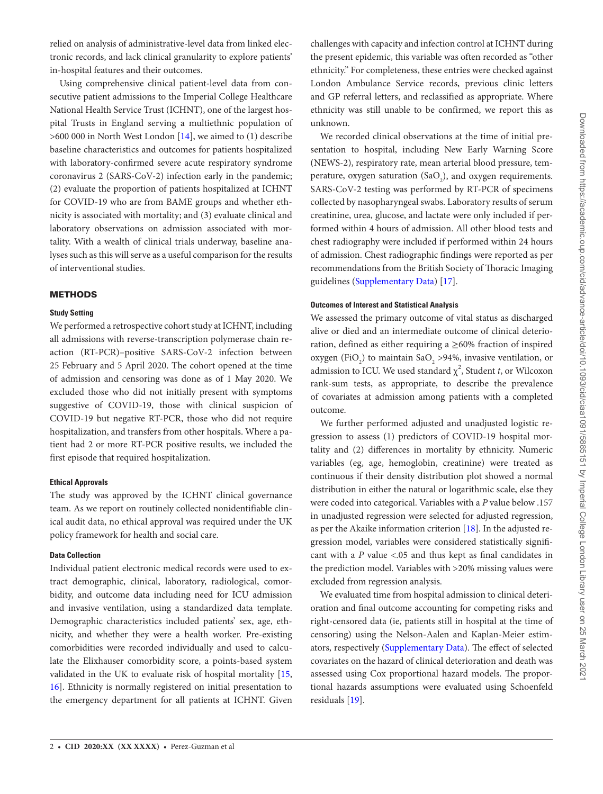relied on analysis of administrative-level data from linked electronic records, and lack clinical granularity to explore patients' in-hospital features and their outcomes.

Using comprehensive clinical patient-level data from consecutive patient admissions to the Imperial College Healthcare National Health Service Trust (ICHNT), one of the largest hospital Trusts in England serving a multiethnic population of >600 000 in North West London [[14](#page-10-9)], we aimed to (1) describe baseline characteristics and outcomes for patients hospitalized with laboratory-confirmed severe acute respiratory syndrome coronavirus 2 (SARS-CoV-2) infection early in the pandemic; (2) evaluate the proportion of patients hospitalized at ICHNT for COVID-19 who are from BAME groups and whether ethnicity is associated with mortality; and (3) evaluate clinical and laboratory observations on admission associated with mortality. With a wealth of clinical trials underway, baseline analyses such as this will serve as a useful comparison for the results of interventional studies.

## **METHODS**

## **Study Setting**

We performed a retrospective cohort study at ICHNT, including all admissions with reverse-transcription polymerase chain reaction (RT-PCR)–positive SARS-CoV-2 infection between 25 February and 5 April 2020. The cohort opened at the time of admission and censoring was done as of 1 May 2020. We excluded those who did not initially present with symptoms suggestive of COVID-19, those with clinical suspicion of COVID-19 but negative RT-PCR, those who did not require hospitalization, and transfers from other hospitals. Where a patient had 2 or more RT-PCR positive results, we included the first episode that required hospitalization.

## **Ethical Approvals**

The study was approved by the ICHNT clinical governance team. As we report on routinely collected nonidentifiable clinical audit data, no ethical approval was required under the UK policy framework for health and social care.

## **Data Collection**

Individual patient electronic medical records were used to extract demographic, clinical, laboratory, radiological, comorbidity, and outcome data including need for ICU admission and invasive ventilation, using a standardized data template. Demographic characteristics included patients' sex, age, ethnicity, and whether they were a health worker. Pre-existing comorbidities were recorded individually and used to calculate the Elixhauser comorbidity score, a points-based system validated in the UK to evaluate risk of hospital mortality [[15,](#page-10-10) [16](#page-10-11)]. Ethnicity is normally registered on initial presentation to the emergency department for all patients at ICHNT. Given challenges with capacity and infection control at ICHNT during the present epidemic, this variable was often recorded as "other ethnicity." For completeness, these entries were checked against London Ambulance Service records, previous clinic letters and GP referral letters, and reclassified as appropriate. Where ethnicity was still unable to be confirmed, we report this as unknown.

We recorded clinical observations at the time of initial presentation to hospital, including New Early Warning Score (NEWS-2), respiratory rate, mean arterial blood pressure, temperature, oxygen saturation  $(SaO<sub>2</sub>)$ , and oxygen requirements. SARS-CoV-2 testing was performed by RT-PCR of specimens collected by nasopharyngeal swabs. Laboratory results of serum creatinine, urea, glucose, and lactate were only included if performed within 4 hours of admission. All other blood tests and chest radiography were included if performed within 24 hours of admission. Chest radiographic findings were reported as per recommendations from the British Society of Thoracic Imaging guidelines [\(Supplementary Data\)](http://academic.oup.com/cid/article-lookup/doi/10.1093/cid/ciaa1091#supplementary-data) [[17\]](#page-10-12).

# **Outcomes of Interest and Statistical Analysis**

We assessed the primary outcome of vital status as discharged alive or died and an intermediate outcome of clinical deterioration, defined as either requiring a ≥60% fraction of inspired oxygen (FiO<sub>2</sub>) to maintain SaO<sub>2</sub> >94%, invasive ventilation, or admission to ICU. We used standard  $\chi^2$ , Student *t*, or Wilcoxon rank-sum tests, as appropriate, to describe the prevalence of covariates at admission among patients with a completed outcome.

We further performed adjusted and unadjusted logistic regression to assess (1) predictors of COVID-19 hospital mortality and (2) differences in mortality by ethnicity. Numeric variables (eg, age, hemoglobin, creatinine) were treated as continuous if their density distribution plot showed a normal distribution in either the natural or logarithmic scale, else they were coded into categorical. Variables with a *P* value below .157 in unadjusted regression were selected for adjusted regression, as per the Akaike information criterion [\[18](#page-10-13)]. In the adjusted regression model, variables were considered statistically significant with a *P* value <.05 and thus kept as final candidates in the prediction model. Variables with >20% missing values were excluded from regression analysis.

We evaluated time from hospital admission to clinical deterioration and final outcome accounting for competing risks and right-censored data (ie, patients still in hospital at the time of censoring) using the Nelson-Aalen and Kaplan-Meier estimators, respectively [\(Supplementary Data\)](http://academic.oup.com/cid/article-lookup/doi/10.1093/cid/ciaa1091#supplementary-data). The effect of selected covariates on the hazard of clinical deterioration and death was assessed using Cox proportional hazard models. The proportional hazards assumptions were evaluated using Schoenfeld residuals [[19](#page-10-14)].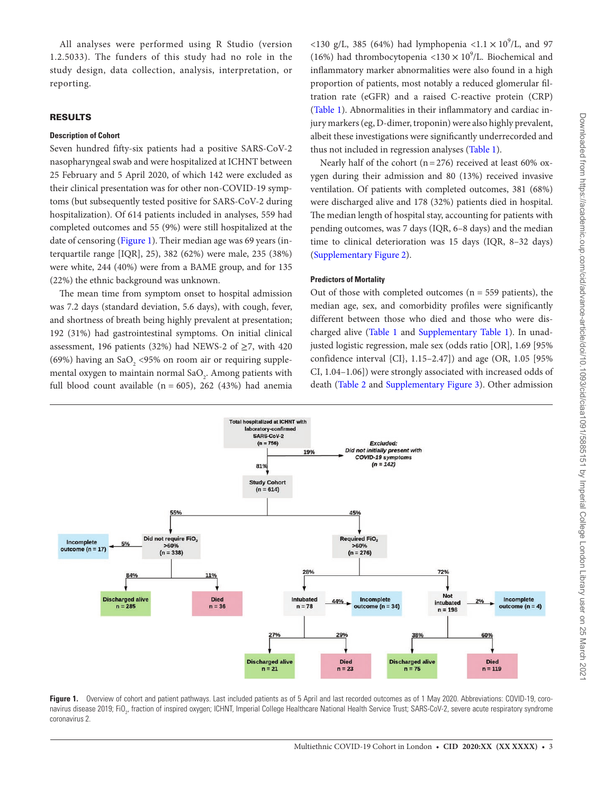All analyses were performed using R Studio (version 1.2.5033). The funders of this study had no role in the study design, data collection, analysis, interpretation, or reporting.

# RESULTS

## **Description of Cohort**

Seven hundred fifty-six patients had a positive SARS-CoV-2 nasopharyngeal swab and were hospitalized at ICHNT between 25 February and 5 April 2020, of which 142 were excluded as their clinical presentation was for other non-COVID-19 symptoms (but subsequently tested positive for SARS-CoV-2 during hospitalization). Of 614 patients included in analyses, 559 had completed outcomes and 55 (9%) were still hospitalized at the date of censoring ([Figure 1\)](#page-2-0). Their median age was 69 years (interquartile range [IQR], 25), 382 (62%) were male, 235 (38%) were white, 244 (40%) were from a BAME group, and for 135 (22%) the ethnic background was unknown.

The mean time from symptom onset to hospital admission was 7.2 days (standard deviation, 5.6 days), with cough, fever, and shortness of breath being highly prevalent at presentation; 192 (31%) had gastrointestinal symptoms. On initial clinical assessment, 196 patients (32%) had NEWS-2 of  $\geq$ 7, with 420 (69%) having an  $SaO_2$  <95% on room air or requiring supplemental oxygen to maintain normal Sa $O_2$ . Among patients with full blood count available ( $n = 605$ ), 262 (43%) had anemia

<130 g/L, 385 (64%) had lymphopenia <1.1  $\times$  10<sup>9</sup>/L, and 97 (16%) had thrombocytopenia <130  $\times$  10<sup>9</sup>/L. Biochemical and inflammatory marker abnormalities were also found in a high proportion of patients, most notably a reduced glomerular filtration rate (eGFR) and a raised C-reactive protein (CRP) [\(Table 1\)](#page-3-0). Abnormalities in their inflammatory and cardiac injury markers (eg, D-dimer, troponin) were also highly prevalent, albeit these investigations were significantly underrecorded and thus not included in regression analyses [\(Table 1](#page-3-0)).

Nearly half of the cohort ( $n=276$ ) received at least 60% oxygen during their admission and 80 (13%) received invasive ventilation. Of patients with completed outcomes, 381 (68%) were discharged alive and 178 (32%) patients died in hospital. The median length of hospital stay, accounting for patients with pending outcomes, was 7 days (IQR, 6–8 days) and the median time to clinical deterioration was 15 days (IQR, 8–32 days) [\(Supplementary Figure 2](http://academic.oup.com/cid/article-lookup/doi/10.1093/cid/ciaa1091#supplementary-data)).

## **Predictors of Mortality**

Out of those with completed outcomes ( $n = 559$  patients), the median age, sex, and comorbidity profiles were significantly different between those who died and those who were dis-charged alive (Table 1 and [Supplementary Table 1\)](http://academic.oup.com/cid/article-lookup/doi/10.1093/cid/ciaa1091#supplementary-data). In unadjusted logistic regression, male sex (odds ratio [OR], 1.69 [95% confidence interval {CI}, 1.15–2.47]) and age (OR, 1.05 [95% CI, 1.04–1.06]) were strongly associated with increased odds of death [\(Table 2](#page-6-0) and [Supplementary Figure 3](http://academic.oup.com/cid/article-lookup/doi/10.1093/cid/ciaa1091#supplementary-data)). Other admission



<span id="page-2-0"></span>Figure 1. Overview of cohort and patient pathways. Last included patients as of 5 April and last recorded outcomes as of 1 May 2020. Abbreviations: COVID-19, coronavirus disease 2019; FiO<sub>2</sub>, fraction of inspired oxygen; ICHNT, Imperial College Healthcare National Health Service Trust; SARS-CoV-2, severe acute respiratory syndrome coronavirus 2.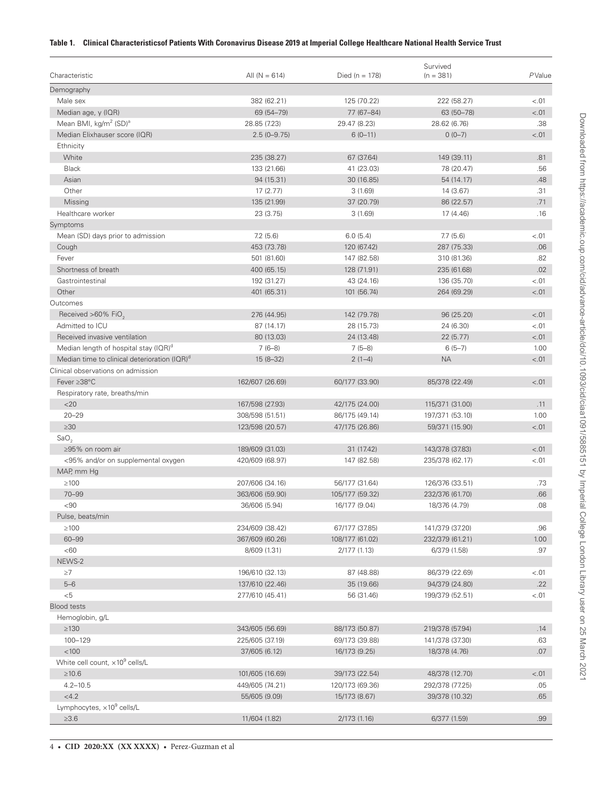# <span id="page-3-0"></span>**Table 1. Clinical Characteristicsof Patients With Coronavirus Disease 2019 at Imperial College Healthcare National Health Service Trust**

|                                                          |                 | Survived         |                 |        |
|----------------------------------------------------------|-----------------|------------------|-----------------|--------|
| Characteristic                                           | All $(N = 614)$ | Died $(n = 178)$ | $(n = 381)$     | PValue |
| Demography                                               |                 |                  |                 |        |
| Male sex                                                 | 382 (62.21)     | 125 (70.22)      | 222 (58.27)     | $-.01$ |
| Median age, y (IQR)                                      | 69 (54-79)      | 77 (67-84)       | 63 (50-78)      | < .01  |
| Mean BMI, kg/m <sup>2</sup> (SD) <sup>a</sup>            | 28.85 (7.23)    | 29.47 (8.23)     | 28.62 (6.76)    | .38    |
| Median Elixhauser score (IQR)                            | $2.5(0-9.75)$   | $6(0-11)$        | $0(0-7)$        | < .01  |
| Ethnicity                                                |                 |                  |                 |        |
| White                                                    | 235 (38.27)     | 67 (37.64)       | 149 (39.11)     | .81    |
| <b>Black</b>                                             | 133 (21.66)     | 41 (23.03)       | 78 (20.47)      | .56    |
| Asian                                                    | 94 (15.31)      | 30 (16.85)       | 54 (14.17)      | .48    |
| Other                                                    | 17(2.77)        | 3(1.69)          | 14 (3.67)       | .31    |
| Missing                                                  | 135 (21.99)     | 37 (20.79)       | 86 (22.57)      | .71    |
| Healthcare worker                                        | 23 (3.75)       | 3(1.69)          | 17 (4.46)       | .16    |
| Symptoms                                                 |                 |                  |                 |        |
| Mean (SD) days prior to admission                        | 7.2(5.6)        | 6.0(5.4)         | 7.7(5.6)        | $-.01$ |
| Cough                                                    | 453 (73.78)     | 120 (67.42)      | 287 (75.33)     | .06    |
| Fever                                                    | 501 (81.60)     | 147 (82.58)      | 310 (81.36)     | .82    |
| Shortness of breath                                      | 400 (65.15)     | 128 (71.91)      | 235 (61.68)     | .02    |
| Gastrointestinal                                         | 192 (31.27)     | 43 (24.16)       | 136 (35.70)     | $-.01$ |
| Other                                                    | 401 (65.31)     | 101 (56.74)      | 264 (69.29)     | < .01  |
| Outcomes                                                 |                 |                  |                 |        |
| Received >60% FiO                                        | 276 (44.95)     | 142 (79.78)      | 96 (25.20)      | < .01  |
| Admitted to ICU                                          | 87 (14.17)      | 28 (15.73)       | 24 (6.30)       | $-.01$ |
| Received invasive ventilation                            | 80 (13.03)      | 24 (13.48)       | 22(5.77)        | < .01  |
| Median length of hospital stay (IQR) <sup>d</sup>        | $7(6-8)$        | $7(5-8)$         | $6(5-7)$        | 1.00   |
| Median time to clinical deterioration (IQR) <sup>d</sup> | $15(8-32)$      | $2(1-4)$         | <b>NA</b>       | $-.01$ |
| Clinical observations on admission                       |                 |                  |                 |        |
| Fever ≥38°C                                              | 162/607 (26.69) | 60/177 (33.90)   | 85/378 (22.49)  | < .01  |
| Respiratory rate, breaths/min                            |                 |                  |                 |        |
| $<$ 20                                                   | 167/598 (27.93) | 42/175 (24.00)   | 115/371 (31.00) | .11    |
| $20 - 29$                                                | 308/598 (51.51) | 86/175 (49.14)   | 197/371 (53.10) | 1.00   |
| $\geq 30$                                                | 123/598 (20.57) | 47/175 (26.86)   | 59/371 (15.90)  | $-.01$ |
| SaO <sub>2</sub>                                         |                 |                  |                 |        |
| ≥95% on room air                                         | 189/609 (31.03) | 31 (17.42)       | 143/378 (37.83) | < .01  |
| <95% and/or on supplemental oxygen                       | 420/609 (68.97) | 147 (82.58)      | 235/378 (62.17) | $-.01$ |
| MAP, mm Hg                                               |                 |                  |                 |        |
| $\geq 100$                                               | 207/606 (34.16) | 56/177 (31.64)   | 126/376 (33.51) | .73    |
| $70 - 99$                                                | 363/606 (59.90) | 105/177 (59.32)  | 232/376 (61.70) | .66    |
| $90$                                                     | 36/606 (5.94)   | 16/177 (9.04)    | 18/376 (4.79)   | .08    |
| Pulse, beats/min                                         |                 |                  |                 |        |
| $\geq 100$                                               | 234/609 (38.42) | 67/177 (37.85)   | 141/379 (37.20) | .96    |
| $60 - 99$                                                | 367/609 (60.26) | 108/177 (61.02)  | 232/379 (61.21) | 1.00   |
| <60                                                      | 8/609 (1.31)    | 2/177 (1.13)     | 6/379 (1.58)    | .97    |
| NEWS-2                                                   |                 |                  |                 |        |
| $\geq 7$                                                 | 196/610 (32.13) | 87 (48.88)       | 86/379 (22.69)  | $-.01$ |
| $5 - 6$                                                  | 137/610 (22.46) | 35 (19.66)       | 94/379 (24.80)  | .22    |
| $<$ 5                                                    | 277/610 (45.41) | 56 (31.46)       | 199/379 (52.51) | $-.01$ |
| <b>Blood tests</b>                                       |                 |                  |                 |        |
| Hemoglobin, g/L                                          |                 |                  |                 |        |
| $\geq$ 130                                               | 343/605 (56.69) | 88/173 (50.87)   | 219/378 (57.94) | .14    |
| 100-129                                                  | 225/605 (37.19) | 69/173 (39.88)   | 141/378 (37.30) | .63    |
| < 100                                                    | 37/605 (6.12)   | 16/173 (9.25)    | 18/378 (4.76)   | .07    |
| White cell count, $\times 10^9$ cells/L                  |                 |                  |                 |        |
| $\geq 10.6$                                              | 101/605 (16.69) | 39/173 (22.54)   | 48/378 (12.70)  | $-.01$ |
| $4.2 - 10.5$                                             | 449/605 (74.21) | 120/173 (69.36)  | 292/378 (77.25) | .05    |
| <4.2                                                     | 55/605 (9.09)   | 15/173 (8.67)    | 39/378 (10.32)  | .65    |
| Lymphocytes, x10 <sup>9</sup> cells/L                    |                 |                  |                 |        |
| $\geq 3.6$                                               | 11/604 (1.82)   | 2/173 (1.16)     | 6/377 (1.59)    | .99    |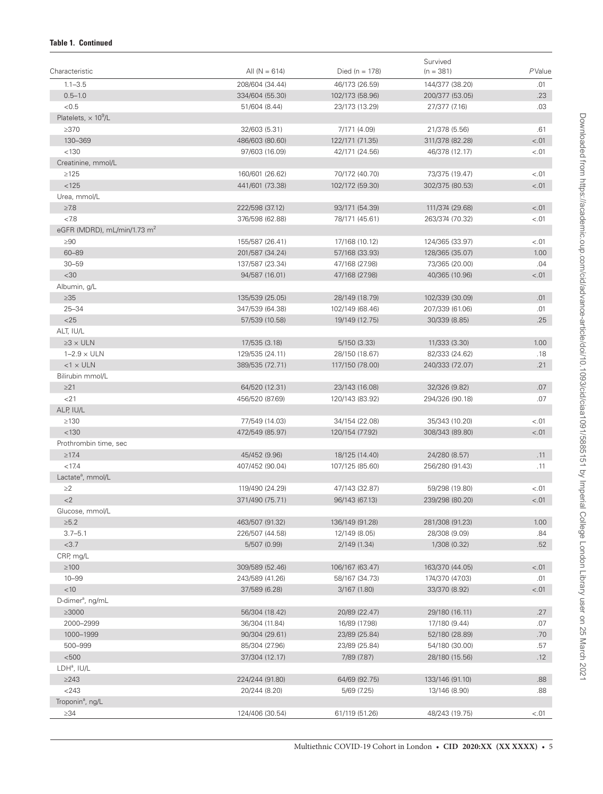# **Table 1. Continued**

|                                        |                   |                    | Survived        | PValue     |
|----------------------------------------|-------------------|--------------------|-----------------|------------|
| Characteristic                         | All ( $N = 614$ ) | Died ( $n = 178$ ) | $(n = 381)$     |            |
| $1.1 - 3.5$                            | 208/604 (34.44)   | 46/173 (26.59)     | 144/377 (38.20) | .01        |
| $0.5 - 1.0$                            | 334/604 (55.30)   | 102/173 (58.96)    | 200/377 (53.05) | .23        |
| < 0.5                                  | 51/604 (8.44)     | 23/173 (13.29)     | 27/377 (7.16)   | .03        |
| Platelets, $\times$ 10 <sup>9</sup> /L |                   |                    |                 |            |
| $\geq$ 370                             | 32/603 (5.31)     | 7/171 (4.09)       | 21/378 (5.56)   | .61        |
| 130-369                                | 486/603 (80.60)   | 122/171 (71.35)    | 311/378 (82.28) | $-.01$     |
| < 130                                  | 97/603 (16.09)    | 42/171 (24.56)     | 46/378 (12.17)  | $-.01$     |
| Creatinine, mmol/L                     |                   |                    |                 |            |
| $\geq$ 125                             | 160/601 (26.62)   | 70/172 (40.70)     | 73/375 (19.47)  | < .01      |
| < 125                                  | 441/601 (73.38)   | 102/172 (59.30)    | 302/375 (80.53) | $-.01$     |
| Urea, mmol/L                           |                   |                    |                 |            |
| $\geq 7.8$                             | 222/598 (37.12)   | 93/171 (54.39)     | 111/374 (29.68) | $-.01$     |
| < 7.8                                  | 376/598 (62.88)   | 78/171 (45.61)     | 263/374 (70.32) | $-.01$     |
| eGFR (MDRD), mL/min/1.73 $m2$          |                   |                    |                 |            |
| $\geq 90$                              | 155/587 (26.41)   | 17/168 (10.12)     | 124/365 (33.97) | $-.01$     |
| $60 - 89$                              | 201/587 (34.24)   | 57/168 (33.93)     | 128/365 (35.07) | 1.00       |
| $30 - 59$                              | 137/587 (23.34)   | 47/168 (27.98)     | 73/365 (20.00)  | .04        |
| <30                                    | 94/587 (16.01)    | 47/168 (27.98)     | 40/365 (10.96)  | < .01      |
| Albumin, g/L                           |                   |                    |                 |            |
| $\geq 35$                              | 135/539 (25.05)   | 28/149 (18.79)     | 102/339 (30.09) | .01        |
| $25 - 34$                              | 347/539 (64.38)   | 102/149 (68.46)    | 207/339 (61.06) | .01        |
| $<$ 25                                 | 57/539 (10.58)    | 19/149 (12.75)     | 30/339 (8.85)   | .25        |
| ALT, IU/L                              |                   |                    |                 |            |
| $\geq$ 3 x ULN                         | 17/535 (3.18)     | 5/150 (3.33)       | 11/333 (3.30)   | 1.00       |
| $1-2.9 \times ULN$                     | 129/535 (24.11)   | 28/150 (18.67)     | 82/333 (24.62)  | .18        |
| $<$ 1 $\times$ ULN                     | 389/535 (72.71)   | 117/150 (78.00)    | 240/333 (72.07) | .21        |
| Bilirubin mmol/L                       |                   |                    |                 |            |
| $\geq$ 21                              | 64/520 (12.31)    | 23/143 (16.08)     | 32/326 (9.82)   | .07        |
| 21                                     | 456/520 (87.69)   | 120/143 (83.92)    | 294/326 (90.18) | .07        |
| ALP, IU/L                              |                   |                    |                 |            |
| $\geq$ 130                             | 77/549 (14.03)    | 34/154 (22.08)     | 35/343 (10.20)  | $-.01$     |
| < 130                                  | 472/549 (85.97)   | 120/154 (77.92)    | 308/343 (89.80) | $-.01$     |
| Prothrombin time, sec                  |                   |                    |                 |            |
| $\geq 17.4$                            | 45/452 (9.96)     | 18/125 (14.40)     | 24/280 (8.57)   | .11        |
| < 17.4                                 | 407/452 (90.04)   | 107/125 (85.60)    | 256/280 (91.43) | .11        |
| Lactate <sup>a</sup> , mmol/L          |                   |                    |                 |            |
| $\geq$ 2                               | 119/490 (24.29)   | 47/143 (32.87)     | 59/298 (19.80)  | $-.01$     |
| $<$ 2                                  | 371/490 (75.71)   | 96/143 (67.13)     | 239/298 (80.20) | < .01      |
| Glucose, mmol/L                        |                   |                    |                 |            |
| $\geq 5.2$                             | 463/507 (91.32)   | 136/149 (91.28)    | 281/308 (91.23) | 1.00       |
| $3.7 - 5.1$                            | 226/507 (44.58)   | 12/149 (8.05)      | 28/308 (9.09)   | .84        |
| <3.7                                   | 5/507 (0.99)      | 2/149 (1.34)       | 1/308 (0.32)    | .52        |
| CRP, mg/L                              |                   |                    |                 |            |
| $\geq 100$                             | 309/589 (52.46)   | 106/167 (63.47)    | 163/370 (44.05) | $-.01$     |
| $10 - 99$                              | 243/589 (41.26)   | 58/167 (34.73)     | 174/370 (47.03) | .01        |
| < 10                                   | 37/589 (6.28)     | 3/167 (1.80)       | 33/370 (8.92)   | $-.01$     |
| D-dimer <sup>a</sup> , ng/mL           |                   |                    |                 |            |
| $\geq 3000$                            | 56/304 (18.42)    | 20/89 (22.47)      | 29/180 (16.11)  | .27        |
| 2000-2999                              | 36/304 (11.84)    | 16/89 (17.98)      | 17/180 (9.44)   | .07        |
| 1000-1999                              | 90/304 (29.61)    | 23/89 (25.84)      | 52/180 (28.89)  | .70        |
| 500-999                                | 85/304 (27.96)    | 23/89 (25.84)      | 54/180 (30.00)  | .57        |
| < 500                                  | 37/304 (12.17)    | 7/89 (7.87)        | 28/180 (15.56)  | .12        |
| LDHª, IU/L                             |                   |                    |                 |            |
| $\geq$ 243                             |                   |                    | 133/146 (91.10) |            |
| $<$ 243                                | 224/244 (91.80)   | 64/69 (92.75)      |                 | .88<br>.88 |
|                                        | 20/244 (8.20)     | 5/69 (7.25)        | 13/146 (8.90)   |            |
| Troponin <sup>ª</sup> , ng/L           |                   |                    |                 |            |
| $\geq$ 34                              | 124/406 (30.54)   | 61/119 (51.26)     | 48/243 (19.75)  | < 0.01     |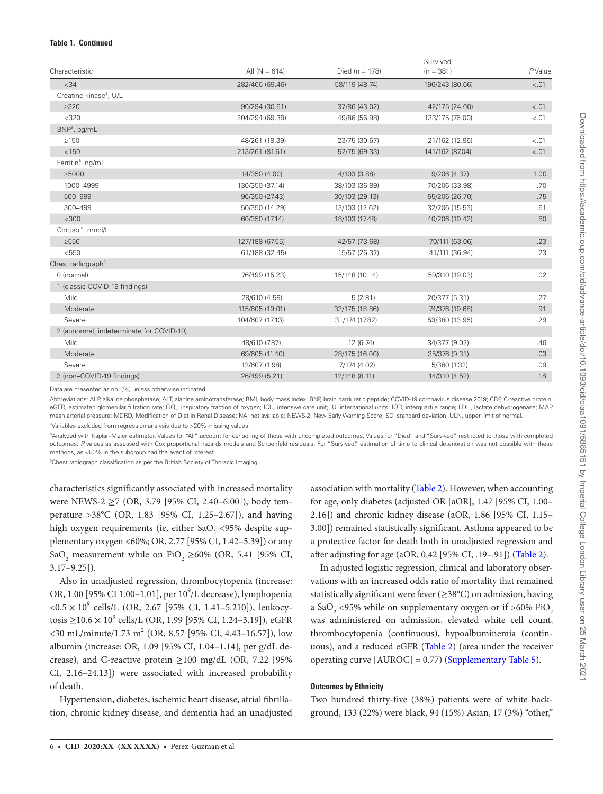| Characteristic                           | All $(N = 614)$ | Died ( $n = 178$ ) | Survived<br>$(n = 381)$ | PValue |
|------------------------------------------|-----------------|--------------------|-------------------------|--------|
|                                          |                 |                    |                         |        |
| < 34                                     | 282/406 (69.46) | 58/119 (48.74)     | 196/243 (80.66)         | < 0.01 |
| Creatine kinase <sup>a</sup> , U/L       |                 |                    |                         |        |
| $\geq$ 320                               | 90/294 (30.61)  | 37/86 (43.02)      | 42/175 (24.00)          | $-.01$ |
| $<$ 320                                  | 204/294 (69.39) | 49/86 (56.98)      | 133/175 (76.00)         | < 0.01 |
| BNP <sup>a</sup> , pg/mL                 |                 |                    |                         |        |
| $\geq$ 150                               | 48/261 (18.39)  | 23/75 (30.67)      | 21/162 (12.96)          | < .01  |
| < 150                                    | 213/261 (81.61) | 52/75 (69.33)      | 141/162 (87.04)         | $-.01$ |
| Ferritin <sup>a</sup> , ng/mL            |                 |                    |                         |        |
| >5000                                    | 14/350 (4.00)   | 4/103 (3.88)       | 9/206(4.37)             | 1.00   |
| 1000-4999                                | 130/350 (37.14) | 38/103 (36.89)     | 70/206 (33.98)          | .70    |
| 500-999                                  | 96/350 (27.43)  | 30/103 (29.13)     | 55/206 (26.70)          | .75    |
| 300-499                                  | 50/350 (14.29)  | 13/103 (12.62)     | 32/206 (15.53)          | .61    |
| $<$ 300                                  | 60/350 (17.14)  | 18/103 (17.48)     | 40/206 (19.42)          | .80    |
| Cortisol <sup>ª</sup> , nmol/L           |                 |                    |                         |        |
| $\geq 550$                               | 127/188 (67.55) | 42/57 (73.68)      | 70/111 (63.06)          | .23    |
| < 550                                    | 61/188 (32.45)  | 15/57 (26.32)      | 41/111 (36.94)          | .23    |
| Chest radiograph <sup>c</sup>            |                 |                    |                         |        |
| 0 (normal)                               | 76/499 (15.23)  | 15/148 (10.14)     | 59/310 (19.03)          | .02    |
| 1 (classic COVID-19 findings)            |                 |                    |                         |        |
| Mild                                     | 28/610 (4.59)   | 5(2.81)            | 20/377 (5.31)           | .27    |
| Moderate                                 | 115/605 (19.01) | 33/175 (18.86)     | 74/376 (19.68)          | .91    |
| Severe                                   | 104/607 (17.13) | 31/174 (17.82)     | 53/380 (13.95)          | .29    |
| 2 (abnormal; indeterminate for COVID-19) |                 |                    |                         |        |
| Mild                                     | 48/610 (7.87)   | 12 (6.74)          | 34/377 (9.02)           | .46    |
| Moderate                                 | 69/605 (11.40)  | 28/175 (16.00)     | 35/376 (9.31)           | .03    |
| Severe                                   | 12/607 (1.98)   | 7/174 (4.02)       | 5/380 (1.32)            | .09    |
| 3 (non-COVID-19 findings)                | 26/499 (5.21)   | 12/148 (8.11)      | 14/310 (4.52)           | .18    |

Data are presented as no. (%) unless otherwise indicated.

Abbreviations: ALP, alkaline phosphatase; ALT, alanine aminotransferase; BMI, body mass index; BNP, brain natriuretic peptide; COVID-19 coronavirus disease 2019; CRP, C-reactive protein; eGFR, estimated glomerular filtration rate; FiO<sub>2</sub>, inspiratory fraction of oxygen; ICU, intensive care unit; IU, international units; IQR, interquartile range; LDH, lactate dehydrogenase; MAP, mean arterial pressure; MDRD, Modification of Diet in Renal Disease; NA, not available; NEWS-2, New Early Warning Score; SD, standard deviation; ULN, upper limit of normal.

<sup>a</sup>Variables excluded from regression analysis due to >20% missing values.

bAnalyzed with Kaplan-Meier estimator. Values for "All" account for censoring of those with uncompleted outcomes. Values for "Died" and "Survived" restricted to those with completed outcomes. P values as assessed with Cox proportional hazards models and Schoenfeld residuals. For "Survived," estimation of time to clinical deterioration was not possible with these methods, as <50% in the subgroup had the event of interest.

<sup>c</sup>Chest radiograph classification as per the British Society of Thoracic Imaging.

characteristics significantly associated with increased mortality were NEWS-2 ≥7 (OR, 3.79 [95% CI, 2.40–6.00]), body temperature >38°C (OR, 1.83 [95% CI, 1.25–2.67]), and having high oxygen requirements (ie, either SaO<sub>2</sub> <95% despite supplementary oxygen <60%; OR, 2.77 [95% CI, 1.42–5.39]) or any SaO<sub>2</sub> measurement while on FiO<sub>2</sub>  $\geq$ 60% (OR, 5.41 [95% CI, 3.17–9.25]).

Also in unadjusted regression, thrombocytopenia (increase: OR, 1.00 [95% CI 1.00-1.01], per 10<sup>9</sup>/L decrease), lymphopenia  $\langle 0.5 \times 10^9 \text{ cells/L}$  (OR, 2.67 [95% CI, 1.41-5.210]), leukocytosis ≥10.6 × 10<sup>9</sup> cells/L (OR, 1.99 [95% CI, 1.24–3.19]), eGFR  $\langle 30 \text{ mL/minute}/1.73 \text{ m}^2 \text{ (OR, 8.57 [95\% CI, 4.43-16.57])}, \text{low} \rangle$ albumin (increase: OR, 1.09 [95% CI, 1.04–1.14], per g/dL decrease), and C-reactive protein  $\geq$ 100 mg/dL (OR, 7.22 [95% CI, 2.16–24.13]) were associated with increased probability of death.

Hypertension, diabetes, ischemic heart disease, atrial fibrillation, chronic kidney disease, and dementia had an unadjusted association with mortality ([Table 2\)](#page-6-0). However, when accounting for age, only diabetes (adjusted OR [aOR], 1.47 [95% CI, 1.00– 2.16]) and chronic kidney disease (aOR, 1.86 [95% CI, 1.15– 3.00]) remained statistically significant. Asthma appeared to be a protective factor for death both in unadjusted regression and after adjusting for age (aOR, 0.42 [95% CI, .19–.91]) [\(Table 2](#page-6-0)).

In adjusted logistic regression, clinical and laboratory observations with an increased odds ratio of mortality that remained statistically significant were fever  $(\geq 38^{\circ}C)$  on admission, having a SaO<sub>2</sub> <95% while on supplementary oxygen or if >60% FiO<sub>2</sub> was administered on admission, elevated white cell count, thrombocytopenia (continuous), hypoalbuminemia (continuous), and a reduced eGFR [\(Table 2](#page-6-0)) (area under the receiver operating curve  $[AUROC] = 0.77$ ) [\(Supplementary Table 5](http://academic.oup.com/cid/article-lookup/doi/10.1093/cid/ciaa1091#supplementary-data)).

#### **Outcomes by Ethnicity**

Two hundred thirty-five (38%) patients were of white background, 133 (22%) were black, 94 (15%) Asian, 17 (3%) "other,"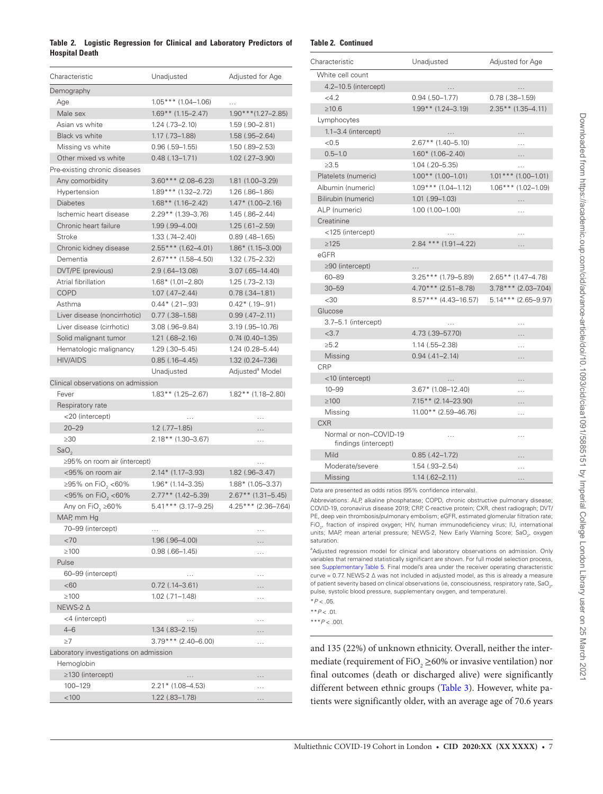# <span id="page-6-0"></span>**Table 2. Logistic Regression for Clinical and Laboratory Predictors of Hospital Death**

| Characteristic                         | Unadjusted             | Adjusted for Age            |
|----------------------------------------|------------------------|-----------------------------|
| Demography                             |                        |                             |
| Age                                    | $1.05***$ (1.04-1.06)  | .                           |
| Male sex                               | $1.69**$ (1.15-2.47)   | $1.90$ *** $(1.27 - 2.85)$  |
| Asian vs white                         | $1.24$ $(.73 - 2.10)$  | 1.59 (.90-2.81)             |
| <b>Black vs white</b>                  | $1.17$ $(.73 - 1.88)$  | $1.58$ $(.95 - 2.64)$       |
| Missing vs white                       | $0.96(.59-1.55)$       | $1.50(.89 - 2.53)$          |
| Other mixed vs white                   | $0.48$ $(.13 - 1.71)$  | $1.02$ $(.27 - 3.90)$       |
| Pre-existing chronic diseases          |                        |                             |
| Any comorbidity                        | $3.60***$ (2.08-6.23)  | 1.81 (1.00-3.29)            |
| Hypertension                           | $1.89***$ (1.32-2.72)  | $1.26$ $(.86-1.86)$         |
| <b>Diabetes</b>                        | $1.68**$ (1.16-2.42)   | $1.47*$ (1.00-2.16)         |
| Ischemic heart disease                 | 2.29** (1.39–3.76)     | 1.45 (.86-2.44)             |
| Chronic heart failure                  | $1.99$ $(.99 - 4.00)$  | $1.25(.61 - 2.59)$          |
| Stroke                                 | $1.33$ $(.74 - 2.40)$  | $0.89$ (.48-1.65)           |
| Chronic kidney disease                 | $2.55***$ (1.62-4.01)  | $1.86*$ (1.15-3.00)         |
| Dementia                               | $2.67$ *** (1.58–4.50) | $1.32$ $(.75 - 2.32)$       |
| DVT/PE (previous)                      | 2.9 (.64–13.08)        | $3.07$ $(.65 - 14.40)$      |
| Atrial fibrillation                    | $1.68*$ (1.01-2.80)    | $1.25$ $(.73 - 2.13)$       |
| <b>COPD</b>                            | $1.07$ $(.47 - 2.44)$  | $0.78$ $(.34 - 1.81)$       |
| Asthma                                 | $0.44*$ (.21-.93)      | $0.42*$ (.19-.91)           |
| Liver disease (noncirrhotic)           | $0.77$ $(.38 - 1.58)$  | $0.99$ $(.47 - 2.11)$       |
| Liver disease (cirrhotic)              | $3.08$ (.96-9.84)      | 3.19 (.95–10.76)            |
| Solid malignant tumor                  | $1.21$ $(.68 - 2.16)$  | $0.74(0.40 - 1.35)$         |
| Hematologic malignancy                 | $1.29$ $(.30 - 5.45)$  | 1.24 (0.28-5.44)            |
| <b>HIV/AIDS</b>                        | $0.85$ $(.16 - 4.45)$  | 1.32 (0.24-7.36)            |
|                                        | Unadjusted             | Adjusted <sup>a</sup> Model |
| Clinical observations on admission     |                        |                             |
| Fever                                  | $1.83**$ (1.25-2.67)   | $1.82**$ (1.18-2.80)        |
| Respiratory rate                       |                        |                             |
| <20 (intercept)                        | .                      | .                           |
| $20 - 29$                              | $1.2$ (.77-1.85)       | .                           |
| $\geq 30$                              | 2.18** (1.30-3.67)     | $\cdots$                    |
| SaO <sub>2</sub>                       |                        |                             |
| ≥95% on room air (intercept)           |                        | $\cdots$                    |
| <95% on room air                       | $2.14*$ (1.17-3.93)    | $1.82$ (.96-3.47)           |
| ≥95% on FiO <sub>2</sub> <60%          | $1.96*$ (1.14-3.35)    | $1.88*$ (1.05-3.37)         |
| <95% on FiO <sub>2</sub> <60%          | 2.77** (1.42–5.39)     | $2.67**$ (1.31-5.45)        |
| Any on FiO <sub>2</sub> $\geq$ 60%     | 5.41*** (3.17-9.25)    | 4.25*** (2.36-7.64)         |
| MAP, mm Hq                             |                        |                             |
| 70-99 (intercept)                      | .                      | .                           |
| <70                                    | 1.96 (.96-4.00)        | .                           |
| $\geq 100$                             | $0.98(.66 - 1.45)$     | $\cdots$                    |
| Pulse                                  |                        |                             |
| 60-99 (intercept)                      | .                      | $\cdots$                    |
| <60                                    | $0.72$ (.14-3.61)      | .                           |
| $\geq 100$                             | $1.02$ $(.71 - 1.48)$  | $\cdots$                    |
| NEWS-2 ∆                               |                        |                             |
| <4 (intercept)                         | .                      | .                           |
| $4 - 6$                                | $1.34$ $(.83 - 2.15)$  | .                           |
| $\geq 7$                               | $3.79***$ (2.40-6.00)  | .                           |
| Laboratory investigations on admission |                        |                             |
| Hemoglobin                             |                        |                             |
| ≥130 (intercept)                       | $\cdots$               | .                           |
| 100-129                                | 2.21* (1.08-4.53)      | $\cdots$                    |
| < 100                                  | $1.22$ (.83-1.78)      | .                           |

# **Table 2. Continued**

| Characteristic                                 | Unadjusted              | Adjusted for Age       |  |
|------------------------------------------------|-------------------------|------------------------|--|
| White cell count                               |                         |                        |  |
| 4.2-10.5 (intercept)                           |                         |                        |  |
| <4.2                                           | $0.94$ $(.50-1.77)$     | $0.78$ $(.38 - 1.59)$  |  |
| $\geq 10.6$                                    | 1.99** (1.24-3.19)      | $2.35**$ (1.35-4.11)   |  |
| Lymphocytes                                    |                         |                        |  |
| $1.1 - 3.4$ (intercept)                        | $\cdots$                | .                      |  |
| <0.5                                           | $2.67**$ (1.40-5.10)    | .                      |  |
| $0.5 - 1.0$                                    | $1.60*$ (1.06-2.40)     | .                      |  |
| >3.5                                           | $1.04$ $(.20 - 5.35)$   | $\cdots$               |  |
| Platelets (numeric)                            | $1.00$ ** (1.00-1.01)   | $1.01$ *** (1.00–1.01) |  |
| Albumin (numeric)                              | $1.09***$ (1.04-1.12)   | $1.06***$ (1.02-1.09)  |  |
| Bilirubin (numeric)                            | $1.01$ $(.99 - 1.03)$   | .                      |  |
| ALP (numeric)                                  | $1.00(1.00 - 1.00)$     | .                      |  |
| Creatinine                                     |                         |                        |  |
| <125 (intercept)                               |                         | $\cdots$               |  |
| $\geq 125$                                     | $2.84$ *** (1.91-4.22)  | .                      |  |
| eGFR                                           |                         |                        |  |
| $\geq$ 90 (intercept)                          | .                       |                        |  |
| $60 - 89$                                      | 3.25*** (1.79–5.89)     | $2.65**$ (1.47-4.78)   |  |
| $30 - 59$                                      | $4.70***$ (2.51-8.78)   | $3.78***$ (2.03-7.04)  |  |
| $<$ 30                                         | $8.57***$ (4.43-16.57)  | $5.14***$ (2.65-9.97)  |  |
| Glucose                                        |                         |                        |  |
| 3.7-5.1 (intercept)                            | .                       | .                      |  |
| <3.7                                           | 4.73 (.39-57.70)        | .                      |  |
| $\ge 5.2$                                      | $1.14$ $(.55 - 2.38)$   | .                      |  |
| Missing                                        | $0.94$ $(.41 - 2.14)$   | .                      |  |
| CRP                                            |                         |                        |  |
| <10 (intercept)                                | $\cdots$                | .                      |  |
| $10 - 99$                                      | 3.67* (1.08-12.40)      | $\cdots$               |  |
| $\geq 100$                                     | $7.15**$ (2.14-23.90)   | .                      |  |
| Missing                                        | $11.00$ ** (2.59-46.76) | .                      |  |
| <b>CXR</b>                                     |                         |                        |  |
| Normal or non-COVID-19<br>findings (intercept) | .                       | .                      |  |
| Mild                                           | $0.85(.42 - 1.72)$      | .                      |  |
| Moderate/severe                                | $1.54$ $(.93 - 2.54)$   | $\cdots$               |  |
| Missing                                        | $1.14$ $(.62 - 2.11)$   | .                      |  |

Data are presented as odds ratios (95% confidence intervals).

Abbreviations: ALP, alkaline phosphatase; COPD, chronic obstructive pulmonary disease; COVID-19, coronavirus disease 2019; CRP, C-reactive protein; CXR, chest radiograph; DVT/ PE, deep vein thrombosis/pulmonary embolism; eGFR, estimated glomerular filtration rate; FiO $_{\textrm{\tiny{27}}}$  fraction of inspired oxygen; HIV, human immunodeficiency virus; IU, international units; MAP, mean arterial pressure; NEWS-2, New Early Warning Score; SaO<sub>2</sub>, oxygen saturation.

<sup>a</sup>Adjusted regression model for clinical and laboratory observations on admission. Only variables that remained statistically significant are shown. For full model selection process, see [Supplementary Table 5](http://academic.oup.com/cid/article-lookup/doi/10.1093/cid/ciaa1091#supplementary-data). Final model's area under the receiver operating characteristic curve = 0.77. NEWS-2 ∆ was not included in adjusted model, as this is already a measure of patient severity based on clinical observations (ie, consciousness, respiratory rate, SaO $_{\rm 2^{\prime}}$ pulse, systolic blood pressure, supplementary oxygen, and temperature).

\**P* < .05.

\*\**P* < .01.

\*\*\**P* < .001.

and 135 (22%) of unknown ethnicity. Overall, neither the intermediate (requirement of FiO<sub>2</sub>  $\geq$  60% or invasive ventilation) nor final outcomes (death or discharged alive) were significantly different between ethnic groups [\(Table 3\)](#page-7-0). However, white patients were significantly older, with an average age of 70.6 years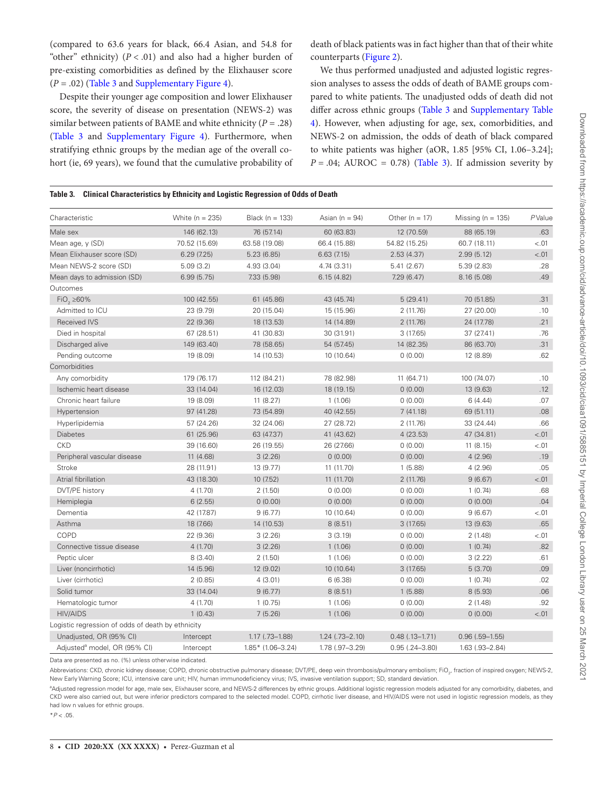(compared to 63.6 years for black, 66.4 Asian, and 54.8 for "other" ethnicity)  $(P < .01)$  and also had a higher burden of pre-existing comorbidities as defined by the Elixhauser score (*P* = .02) ([Table 3](#page-7-0) and [Supplementary Figure 4](http://academic.oup.com/cid/article-lookup/doi/10.1093/cid/ciaa1091#supplementary-data)).

Despite their younger age composition and lower Elixhauser score, the severity of disease on presentation (NEWS-2) was similar between patients of BAME and white ethnicity ( $P = .28$ ) [\(Table 3](#page-7-0) and [Supplementary Figure 4](http://academic.oup.com/cid/article-lookup/doi/10.1093/cid/ciaa1091#supplementary-data)). Furthermore, when stratifying ethnic groups by the median age of the overall cohort (ie, 69 years), we found that the cumulative probability of

death of black patients was in fact higher than that of their white counterparts ([Figure 2](#page-8-0)).

We thus performed unadjusted and adjusted logistic regression analyses to assess the odds of death of BAME groups compared to white patients. The unadjusted odds of death did not differ across ethnic groups [\(Table 3](#page-7-0) and [Supplementary Table](http://academic.oup.com/cid/article-lookup/doi/10.1093/cid/ciaa1091#supplementary-data)  [4\)](http://academic.oup.com/cid/article-lookup/doi/10.1093/cid/ciaa1091#supplementary-data). However, when adjusting for age, sex, comorbidities, and NEWS-2 on admission, the odds of death of black compared to white patients was higher (aOR, 1.85 [95% CI, 1.06–3.24];  $P = .04$ ; AUROC = 0.78) (Table 3). If admission severity by

## <span id="page-7-0"></span>**Table 3. Clinical Characteristics by Ethnicity and Logistic Regression of Odds of Death**

| Characteristic                                    | White $(n = 235)$ | Black ( $n = 133$ )   | Asian ( $n = 94$ )    | Other ( $n = 17$ ) | Missing ( $n = 135$ ) | PValue |
|---------------------------------------------------|-------------------|-----------------------|-----------------------|--------------------|-----------------------|--------|
| Male sex                                          | 146 (62.13)       | 76 (57.14)            | 60 (63.83)            | 12 (70.59)         | 88 (65.19)            | .63    |
| Mean age, y (SD)                                  | 70.52 (15.69)     | 63.58 (19.08)         | 66.4 (15.88)          | 54.82 (15.25)      | 60.7 (18.11)          | < .01  |
| Mean Elixhauser score (SD)                        | 6.29(7.25)        | 5.23(6.85)            | 6.63(7.15)            | 2.53(4.37)         | 2.99(5.12)            | < .01  |
| Mean NEWS-2 score (SD)                            | 5.09(3.2)         | 4.93 (3.04)           | 4.74(3.31)            | 5.41(2.67)         | 5.39(2.83)            | .28    |
| Mean days to admission (SD)                       | 6.99(5.75)        | 7.33 (5.98)           | 6.15(4.82)            | 7.29(6.47)         | 8.16(5.08)            | .49    |
| Outcomes                                          |                   |                       |                       |                    |                       |        |
| $FiO2 \ge 60\%$                                   | 100 (42.55)       | 61 (45.86)            | 43 (45.74)            | 5(29.41)           | 70 (51.85)            | .31    |
| Admitted to ICU                                   | 23 (9.79)         | 20 (15.04)            | 15 (15.96)            | 2(11.76)           | 27 (20.00)            | .10    |
| <b>Received IVS</b>                               | 22 (9.36)         | 18 (13.53)            | 14 (14.89)            | 2(11.76)           | 24 (17.78)            | .21    |
| Died in hospital                                  | 67 (28.51)        | 41 (30.83)            | 30 (31.91)            | 3(17.65)           | 37 (27.41)            | .76    |
| Discharged alive                                  | 149 (63.40)       | 78 (58.65)            | 54 (57.45)            | 14 (82.35)         | 86 (63.70)            | .31    |
| Pending outcome                                   | 19 (8.09)         | 14 (10.53)            | 10 (10.64)            | 0(0.00)            | 12 (8.89)             | .62    |
| Comorbidities                                     |                   |                       |                       |                    |                       |        |
| Any comorbidity                                   | 179 (76.17)       | 112 (84.21)           | 78 (82.98)            | 11 (64.71)         | 100 (74.07)           | .10    |
| Ischemic heart disease                            | 33 (14.04)        | 16 (12.03)            | 18 (19.15)            | 0(0.00)            | 13 (9.63)             | .12    |
| Chronic heart failure                             | 19 (8.09)         | 11 (8.27)             | 1(1.06)               | 0(0.00)            | 6(4.44)               | .07    |
| Hypertension                                      | 97 (41.28)        | 73 (54.89)            | 40 (42.55)            | 7(41.18)           | 69 (51.11)            | .08    |
| Hyperlipidemia                                    | 57 (24.26)        | 32 (24.06)            | 27 (28.72)            | 2(11.76)           | 33 (24.44)            | .66    |
| <b>Diabetes</b>                                   | 61 (25.96)        | 63 (47.37)            | 41 (43.62)            | 4(23.53)           | 47 (34.81)            | < .01  |
| <b>CKD</b>                                        | 39 (16.60)        | 26 (19.55)            | 26 (27.66)            | 0(0.00)            | 11(8.15)              | < .01  |
| Peripheral vascular disease                       | 11(4.68)          | 3(2.26)               | 0(0.00)               | 0(0.00)            | 4(2.96)               | .19    |
| <b>Stroke</b>                                     | 28 (11.91)        | 13 (9.77)             | 11 (11.70)            | 1(5.88)            | 4(2.96)               | .05    |
| Atrial fibrillation                               | 43 (18.30)        | 10 (7.52)             | 11 (11.70)            | 2(11.76)           | 9(6.67)               | $-.01$ |
| DVT/PE history                                    | 4(1.70)           | 2(1.50)               | 0(0.00)               | 0(0.00)            | 1(0.74)               | .68    |
| Hemiplegia                                        | 6(2.55)           | 0(0.00)               | 0(0.00)               | 0(0.00)            | 0(0.00)               | .04    |
| Dementia                                          | 42 (17.87)        | 9(6.77)               | 10 (10.64)            | 0(0.00)            | 9(6.67)               | < .01  |
| Asthma                                            | 18 (7.66)         | 14 (10.53)            | 8(8.51)               | 3(17.65)           | 13 (9.63)             | .65    |
| COPD                                              | 22 (9.36)         | 3(2.26)               | 3(3.19)               | 0(0.00)            | 2(1.48)               | < .01  |
| Connective tissue disease                         | 4(1.70)           | 3(2.26)               | 1(1.06)               | 0(0.00)            | 1(0.74)               | .82    |
| Peptic ulcer                                      | 8(3.40)           | 2(1.50)               | 1(1.06)               | 0(0.00)            | 3(2.22)               | .61    |
| Liver (noncirrhotic)                              | 14 (5.96)         | 12 (9.02)             | 10 (10.64)            | 3(17.65)           | 5(3.70)               | .09    |
| Liver (cirrhotic)                                 | 2(0.85)           | 4(3.01)               | 6(6.38)               | 0(0.00)            | 1(0.74)               | .02    |
| Solid tumor                                       | 33 (14.04)        | 9(6.77)               | 8(8.51)               | 1(5.88)            | 8(5.93)               | .06    |
| Hematologic tumor                                 | 4(1.70)           | 1(0.75)               | 1(1.06)               | 0(0.00)            | 2(1.48)               | .92    |
| <b>HIV/AIDS</b>                                   | 1(0.43)           | 7(5.26)               | 1(1.06)               | 0(0.00)            | 0(0.00)               | < .01  |
| Logistic regression of odds of death by ethnicity |                   |                       |                       |                    |                       |        |
| Unadjusted, OR (95% CI)                           | Intercept         | $1.17$ $(.73 - 1.88)$ | $1.24$ $(.73 - 2.10)$ | $0.48(.13 - 1.71)$ | $0.96$ $(.59 - 1.55)$ |        |
| Adjusted <sup>a</sup> model, OR (95% CI)          | Intercept         | $1.85*$ (1.06-3.24)   | 1.78 (.97-3.29)       | $0.95(.24 - 3.80)$ | $1.63$ $(.93 - 2.84)$ |        |

Data are presented as no. (%) unless otherwise indicated.

Abbreviations: CKD, chronic kidney disease; COPD, chronic obstructive pulmonary disease; DVT/PE, deep vein thrombosis/pulmonary embolism; FiO<sub>2</sub>, fraction of inspired oxygen; NEWS-2, New Early Warning Score; ICU, intensive care unit; HIV, human immunodeficiency virus; IVS, invasive ventilation support; SD, standard deviation.

<sup>a</sup>Adjusted regression model for age, male sex, Elixhauser score, and NEWS-2 differences by ethnic groups. Additional logistic regression models adjusted for any comorbidity, diabetes, and CKD were also carried out, but were inferior predictors compared to the selected model. COPD, cirrhotic liver disease, and HIV/AIDS were not used in logistic regression models, as they had low n values for ethnic groups.

\**P* < .05.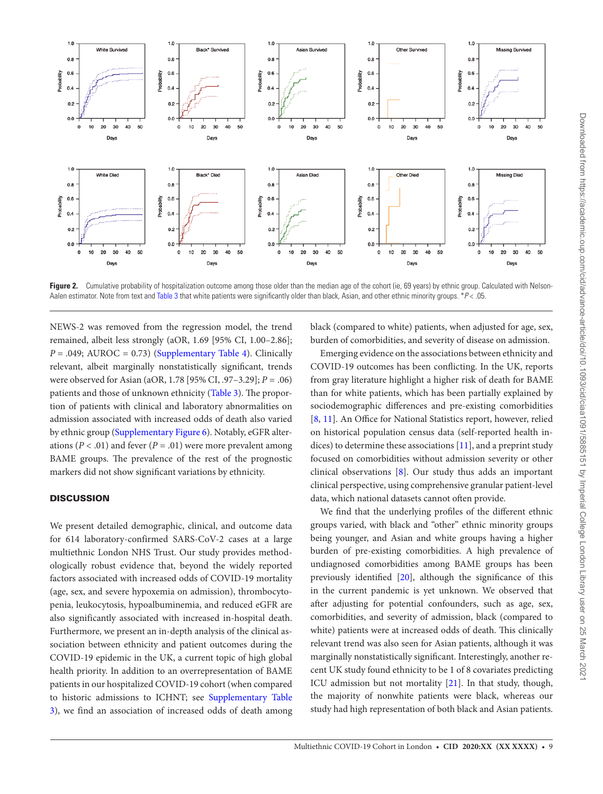

<span id="page-8-0"></span>Figure 2. Cumulative probability of hospitalization outcome among those older than the median age of the cohort (ie, 69 years) by ethnic group. Calculated with Nelson-Aalen estimator. Note from text and [Table 3](#page-7-0) that white patients were significantly older than black, Asian, and other ethnic minority groups. \**P* < .05.

NEWS-2 was removed from the regression model, the trend remained, albeit less strongly (aOR, 1.69 [95% CI, 1.00–2.86];  $P = .049$ ; AUROC = 0.73) ([Supplementary Table 4](http://academic.oup.com/cid/article-lookup/doi/10.1093/cid/ciaa1091#supplementary-data)). Clinically relevant, albeit marginally nonstatistically significant, trends were observed for Asian (aOR, 1.78 [95% CI, .97–3.29]; *P* = .06) patients and those of unknown ethnicity ([Table 3\)](#page-7-0). The proportion of patients with clinical and laboratory abnormalities on admission associated with increased odds of death also varied by ethnic group [\(Supplementary Figure 6\)](http://academic.oup.com/cid/article-lookup/doi/10.1093/cid/ciaa1091#supplementary-data). Notably, eGFR alterations ( $P < .01$ ) and fever ( $P = .01$ ) were more prevalent among BAME groups. The prevalence of the rest of the prognostic markers did not show significant variations by ethnicity.

# **DISCUSSION**

We present detailed demographic, clinical, and outcome data for 614 laboratory-confirmed SARS-CoV-2 cases at a large multiethnic London NHS Trust. Our study provides methodologically robust evidence that, beyond the widely reported factors associated with increased odds of COVID-19 mortality (age, sex, and severe hypoxemia on admission), thrombocytopenia, leukocytosis, hypoalbuminemia, and reduced eGFR are also significantly associated with increased in-hospital death. Furthermore, we present an in-depth analysis of the clinical association between ethnicity and patient outcomes during the COVID-19 epidemic in the UK, a current topic of high global health priority. In addition to an overrepresentation of BAME patients in our hospitalized COVID-19 cohort (when compared to historic admissions to ICHNT; see [Supplementary Table](http://academic.oup.com/cid/article-lookup/doi/10.1093/cid/ciaa1091#supplementary-data) [3\)](http://academic.oup.com/cid/article-lookup/doi/10.1093/cid/ciaa1091#supplementary-data), we find an association of increased odds of death among

black (compared to white) patients, when adjusted for age, sex, burden of comorbidities, and severity of disease on admission.

Emerging evidence on the associations between ethnicity and COVID-19 outcomes has been conflicting. In the UK, reports from gray literature highlight a higher risk of death for BAME than for white patients, which has been partially explained by sociodemographic differences and pre-existing comorbidities [\[8,](#page-10-4) [11\]](#page-10-7). An Office for National Statistics report, however, relied on historical population census data (self-reported health indices) to determine these associations [[11\]](#page-10-7), and a preprint study focused on comorbidities without admission severity or other clinical observations [[8](#page-10-4)]. Our study thus adds an important clinical perspective, using comprehensive granular patient-level data, which national datasets cannot often provide.

We find that the underlying profiles of the different ethnic groups varied, with black and "other" ethnic minority groups being younger, and Asian and white groups having a higher burden of pre-existing comorbidities. A high prevalence of undiagnosed comorbidities among BAME groups has been previously identified [\[20](#page-10-15)], although the significance of this in the current pandemic is yet unknown. We observed that after adjusting for potential confounders, such as age, sex, comorbidities, and severity of admission, black (compared to white) patients were at increased odds of death. This clinically relevant trend was also seen for Asian patients, although it was marginally nonstatistically significant. Interestingly, another recent UK study found ethnicity to be 1 of 8 covariates predicting ICU admission but not mortality [\[21](#page-10-16)]. In that study, though, the majority of nonwhite patients were black, whereas our study had high representation of both black and Asian patients.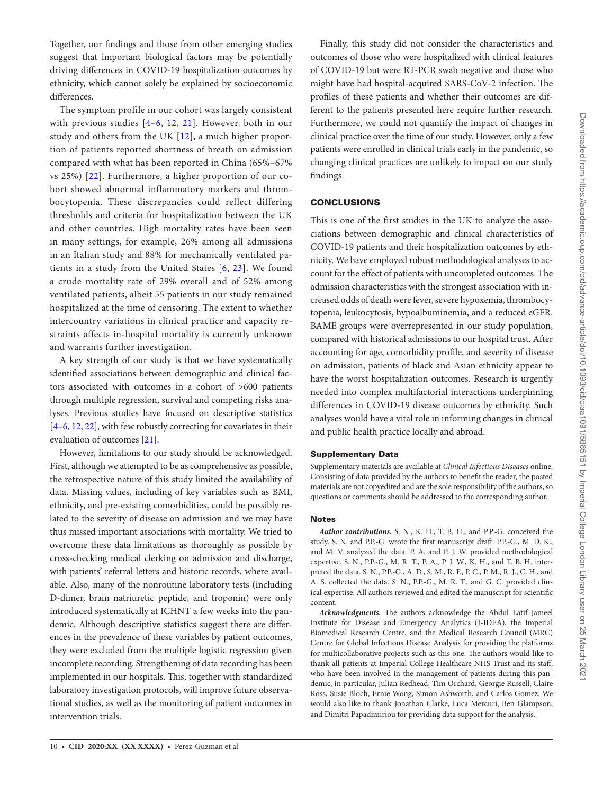Together, our findings and those from other emerging studies suggest that important biological factors may be potentially driving differences in COVID-19 hospitalization outcomes by ethnicity, which cannot solely be explained by socioeconomic differences.

The symptom profile in our cohort was largely consistent with previous studies [[4–](#page-10-3)[6,](#page-10-17) [12](#page-10-18), [21\]](#page-10-16). However, both in our study and others from the UK [\[12](#page-10-18)], a much higher proportion of patients reported shortness of breath on admission compared with what has been reported in China (65%–67% vs 25%) [[22](#page-10-19)]. Furthermore, a higher proportion of our cohort showed abnormal inflammatory markers and thrombocytopenia. These discrepancies could reflect differing thresholds and criteria for hospitalization between the UK and other countries. High mortality rates have been seen in many settings, for example, 26% among all admissions in an Italian study and 88% for mechanically ventilated patients in a study from the United States [[6,](#page-10-17) [23](#page-10-20)]. We found a crude mortality rate of 29% overall and of 52% among ventilated patients, albeit 55 patients in our study remained hospitalized at the time of censoring. The extent to whether intercountry variations in clinical practice and capacity restraints affects in-hospital mortality is currently unknown and warrants further investigation.

A key strength of our study is that we have systematically identified associations between demographic and clinical factors associated with outcomes in a cohort of >600 patients through multiple regression, survival and competing risks analyses. Previous studies have focused on descriptive statistics [\[4–](#page-10-3)[6](#page-10-17), [12,](#page-10-18) [22\]](#page-10-19), with few robustly correcting for covariates in their evaluation of outcomes [\[21\]](#page-10-16).

However, limitations to our study should be acknowledged. First, although we attempted to be as comprehensive as possible, the retrospective nature of this study limited the availability of data. Missing values, including of key variables such as BMI, ethnicity, and pre-existing comorbidities, could be possibly related to the severity of disease on admission and we may have thus missed important associations with mortality. We tried to overcome these data limitations as thoroughly as possible by cross-checking medical clerking on admission and discharge, with patients' referral letters and historic records, where available. Also, many of the nonroutine laboratory tests (including D-dimer, brain natriuretic peptide, and troponin) were only introduced systematically at ICHNT a few weeks into the pandemic. Although descriptive statistics suggest there are differences in the prevalence of these variables by patient outcomes, they were excluded from the multiple logistic regression given incomplete recording. Strengthening of data recording has been implemented in our hospitals. This, together with standardized laboratory investigation protocols, will improve future observational studies, as well as the monitoring of patient outcomes in intervention trials.

Finally, this study did not consider the characteristics and outcomes of those who were hospitalized with clinical features of COVID-19 but were RT-PCR swab negative and those who might have had hospital-acquired SARS-CoV-2 infection. The profiles of these patients and whether their outcomes are different to the patients presented here require further research. Furthermore, we could not quantify the impact of changes in clinical practice over the time of our study. However, only a few patients were enrolled in clinical trials early in the pandemic, so changing clinical practices are unlikely to impact on our study findings.

## **CONCLUSIONS**

This is one of the first studies in the UK to analyze the associations between demographic and clinical characteristics of COVID-19 patients and their hospitalization outcomes by ethnicity. We have employed robust methodological analyses to account for the effect of patients with uncompleted outcomes. The admission characteristics with the strongest association with increased odds of death were fever, severe hypoxemia, thrombocytopenia, leukocytosis, hypoalbuminemia, and a reduced eGFR. BAME groups were overrepresented in our study population, compared with historical admissions to our hospital trust. After accounting for age, comorbidity profile, and severity of disease on admission, patients of black and Asian ethnicity appear to have the worst hospitalization outcomes. Research is urgently needed into complex multifactorial interactions underpinning differences in COVID-19 disease outcomes by ethnicity. Such analyses would have a vital role in informing changes in clinical and public health practice locally and abroad.

## Supplementary Data

Supplementary materials are available at *Clinical Infectious Diseases* online. Consisting of data provided by the authors to benefit the reader, the posted materials are not copyedited and are the sole responsibility of the authors, so questions or comments should be addressed to the corresponding author.

## **Notes**

*Author contributions.* S. N., K. H., T. B. H., and P.P.-G. conceived the study. S. N. and P.P.-G. wrote the first manuscript draft. P.P.-G., M. D. K., and M. V. analyzed the data. P. A. and P. J. W. provided methodological expertise. S. N., P.P.-G., M. R. T., P. A., P. J. W., K. H., and T. B. H. interpreted the data. S. N., P.P.-G., A. D., S. M., R. F., P. C., P. M., R. J., C. H., and A. S. collected the data. S. N., P.P.-G., M. R. T., and G. C. provided clinical expertise. All authors reviewed and edited the manuscript for scientific content.

*Acknowledgments.* The authors acknowledge the Abdul Latif Jameel Institute for Disease and Emergency Analytics (J-IDEA), the Imperial Biomedical Research Centre, and the Medical Research Council (MRC) Centre for Global Infectious Disease Analysis for providing the platforms for multicollaborative projects such as this one. The authors would like to thank all patients at Imperial College Healthcare NHS Trust and its staff, who have been involved in the management of patients during this pandemic, in particular, Julian Redhead, Tim Orchard, Georgie Russell, Claire Ross, Susie Bloch, Ernie Wong, Simon Ashworth, and Carlos Gomez. We would also like to thank Jonathan Clarke, Luca Mercuri, Ben Glampson, and Dimitri Papadimiriou for providing data support for the analysis.